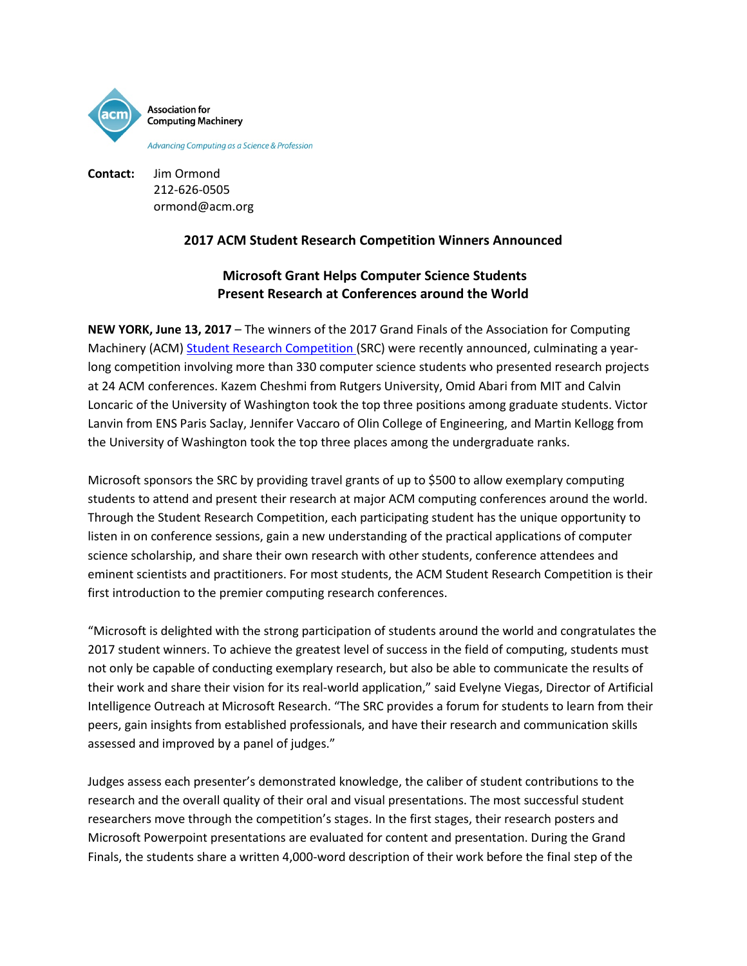

**Contact:** Jim Ormond 212-626-0505 ormond@acm.org

# **2017 ACM Student Research Competition Winners Announced**

# **Microsoft Grant Helps Computer Science Students Present Research at Conferences around the World**

**NEW YORK, June 13, 2017** – The winners of the 2017 Grand Finals of the Association for Computing Machinery (ACM) [Student Research Competition](http://src.acm.org/) (SRC) were recently announced, culminating a yearlong competition involving more than 330 computer science students who presented research projects at 24 ACM conferences. Kazem Cheshmi from Rutgers University, Omid Abari from MIT and Calvin Loncaric of the University of Washington took the top three positions among graduate students. Victor Lanvin from ENS Paris Saclay, Jennifer Vaccaro of Olin College of Engineering, and Martin Kellogg from the University of Washington took the top three places among the undergraduate ranks.

Microsoft sponsors the SRC by providing travel grants of up to \$500 to allow exemplary computing students to attend and present their research at major ACM computing conferences around the world. Through the Student Research Competition, each participating student has the unique opportunity to listen in on conference sessions, gain a new understanding of the practical applications of computer science scholarship, and share their own research with other students, conference attendees and eminent scientists and practitioners. For most students, the ACM Student Research Competition is their first introduction to the premier computing research conferences.

"Microsoft is delighted with the strong participation of students around the world and congratulates the 2017 student winners. To achieve the greatest level of success in the field of computing, students must not only be capable of conducting exemplary research, but also be able to communicate the results of their work and share their vision for its real-world application," said Evelyne Viegas, Director of Artificial Intelligence Outreach at Microsoft Research. "The SRC provides a forum for students to learn from their peers, gain insights from established professionals, and have their research and communication skills assessed and improved by a panel of judges."

Judges assess each presenter's demonstrated knowledge, the caliber of student contributions to the research and the overall quality of their oral and visual presentations. The most successful student researchers move through the competition's stages. In the first stages, their research posters and Microsoft Powerpoint presentations are evaluated for content and presentation. During the Grand Finals, the students share a written 4,000-word description of their work before the final step of the